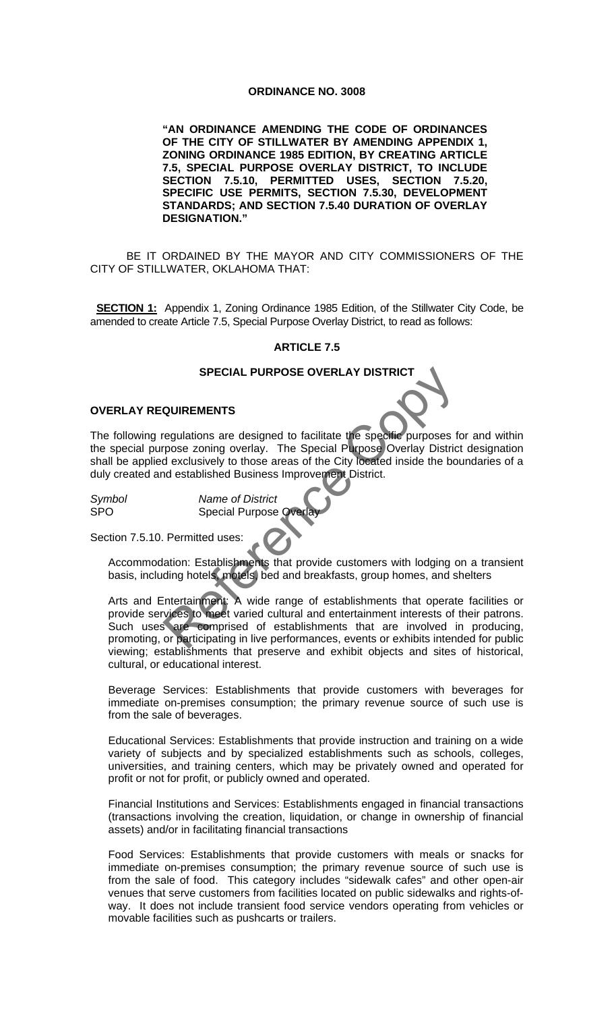### **ORDINANCE NO. 3008**

**"AN ORDINANCE AMENDING THE CODE OF ORDINANCES OF THE CITY OF STILLWATER BY AMENDING APPENDIX 1, ZONING ORDINANCE 1985 EDITION, BY CREATING ARTICLE 7.5, SPECIAL PURPOSE OVERLAY DISTRICT, TO INCLUDE SECTION 7.5.10, PERMITTED USES, SECTION 7.5.20, SPECIFIC USE PERMITS, SECTION 7.5.30, DEVELOPMENT STANDARDS; AND SECTION 7.5.40 DURATION OF OVERLAY DESIGNATION."** 

BE IT ORDAINED BY THE MAYOR AND CITY COMMISSIONERS OF THE CITY OF STILLWATER, OKLAHOMA THAT:

**SECTION 1:** Appendix 1, Zoning Ordinance 1985 Edition, of the Stillwater City Code, be amended to create Article 7.5, Special Purpose Overlay District, to read as follows:

## **ARTICLE 7.5**

### **SPECIAL PURPOSE OVERLAY DISTRICT**

# **OVERLAY REQUIREMENTS**

The following regulations are designed to facilitate the specific purposes for and within the special purpose zoning overlay. The Special Purpose Overlay District designation shall be applied exclusively to those areas of the City located inside the boundaries of a duly created and established Business Improvement District.

*Symbol Name of District*  SPO Special Purpose Overlay

Section 7.5.10. Permitted uses:

Accommodation: Establishments that provide customers with lodging on a transient basis, including hotels, motels, bed and breakfasts, group homes, and shelters

Arts and Entertainment: A wide range of establishments that operate facilities or provide services to meet varied cultural and entertainment interests of their patrons. Such uses are comprised of establishments that are involved in producing, promoting, or participating in live performances, events or exhibits intended for public viewing; establishments that preserve and exhibit objects and sites of historical, cultural, or educational interest. SPECIAL PURPOSE OVERLAY DISTRICT<br>
Regulations are designed to facilitate the specific purposes from<br>
regulations are designed to facilitate the specific purposes from<br>
the scalar purpose Coverlay District<br>
ord established

Beverage Services: Establishments that provide customers with beverages for immediate on-premises consumption; the primary revenue source of such use is from the sale of beverages.

Educational Services: Establishments that provide instruction and training on a wide variety of subjects and by specialized establishments such as schools, colleges, universities, and training centers, which may be privately owned and operated for profit or not for profit, or publicly owned and operated.

Financial Institutions and Services: Establishments engaged in financial transactions (transactions involving the creation, liquidation, or change in ownership of financial assets) and/or in facilitating financial transactions

Food Services: Establishments that provide customers with meals or snacks for immediate on-premises consumption; the primary revenue source of such use is from the sale of food. This category includes "sidewalk cafes" and other open-air venues that serve customers from facilities located on public sidewalks and rights-ofway. It does not include transient food service vendors operating from vehicles or movable facilities such as pushcarts or trailers.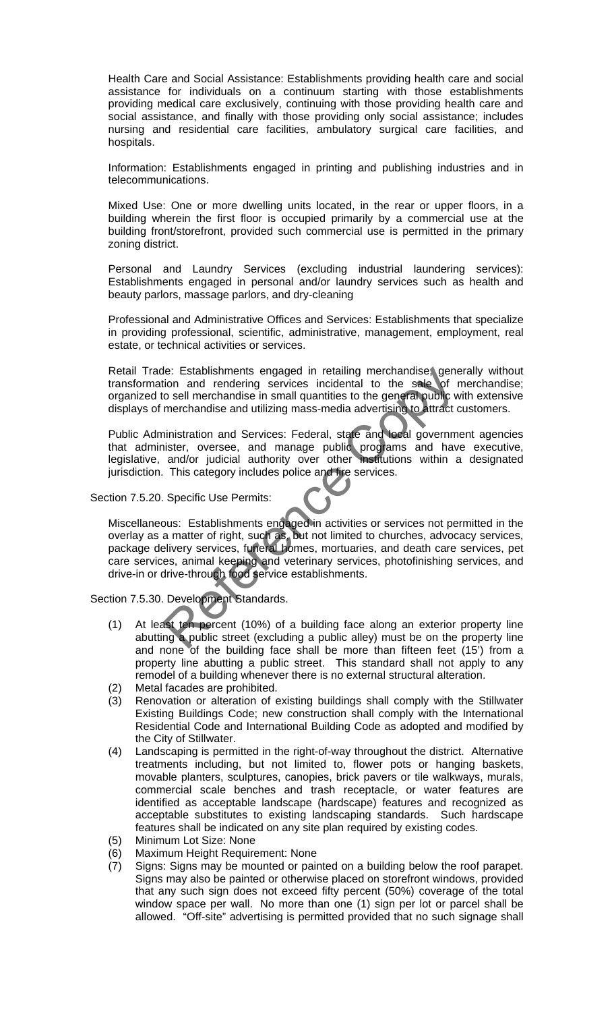Health Care and Social Assistance: Establishments providing health care and social assistance for individuals on a continuum starting with those establishments providing medical care exclusively, continuing with those providing health care and social assistance, and finally with those providing only social assistance; includes nursing and residential care facilities, ambulatory surgical care facilities, and hospitals.

Information: Establishments engaged in printing and publishing industries and in telecommunications.

Mixed Use: One or more dwelling units located, in the rear or upper floors, in a building wherein the first floor is occupied primarily by a commercial use at the building front/storefront, provided such commercial use is permitted in the primary zoning district.

Personal and Laundry Services (excluding industrial laundering services): Establishments engaged in personal and/or laundry services such as health and beauty parlors, massage parlors, and dry-cleaning

Professional and Administrative Offices and Services: Establishments that specialize in providing professional, scientific, administrative, management, employment, real estate, or technical activities or services.

Retail Trade: Establishments engaged in retailing merchandise, generally without transformation and rendering services incidental to the sale of merchandise; organized to sell merchandise in small quantities to the general public with extensive displays of merchandise and utilizing mass-media advertising to attract customers.

Public Administration and Services: Federal, state and local government agencies that administer, oversee, and manage public programs and have executive, legislative, and/or judicial authority over other institutions within a designated jurisdiction. This category includes police and fire services.

### Section 7.5.20. Specific Use Permits:

Miscellaneous: Establishments engaged in activities or services not permitted in the overlay as a matter of right, such as, but not limited to churches, advocacy services, package delivery services, funeral homes, mortuaries, and death care services, pet care services, animal keeping and veterinary services, photofinishing services, and drive-in or drive-through food service establishments. ie: Establishments engaged in retailing merchandise, gene<br>ion and rendering services incidental to the sale of r<br>o sell merchandise in small quantities to the general public w<br>merchandise and utilizing mass-media advertisi

Section 7.5.30. Development Standards.

- (1) At least ten percent (10%) of a building face along an exterior property line abutting a public street (excluding a public alley) must be on the property line and none of the building face shall be more than fifteen feet (15') from a property line abutting a public street. This standard shall not apply to any remodel of a building whenever there is no external structural alteration.
- (2) Metal facades are prohibited.
- (3) Renovation or alteration of existing buildings shall comply with the Stillwater Existing Buildings Code; new construction shall comply with the International Residential Code and International Building Code as adopted and modified by the City of Stillwater.
- (4) Landscaping is permitted in the right-of-way throughout the district. Alternative treatments including, but not limited to, flower pots or hanging baskets, movable planters, sculptures, canopies, brick pavers or tile walkways, murals, commercial scale benches and trash receptacle, or water features are identified as acceptable landscape (hardscape) features and recognized as acceptable substitutes to existing landscaping standards. Such hardscape features shall be indicated on any site plan required by existing codes.
- (5) Minimum Lot Size: None
- (6) Maximum Height Requirement: None
- (7) Signs: Signs may be mounted or painted on a building below the roof parapet. Signs may also be painted or otherwise placed on storefront windows, provided that any such sign does not exceed fifty percent (50%) coverage of the total window space per wall. No more than one (1) sign per lot or parcel shall be allowed. "Off-site" advertising is permitted provided that no such signage shall